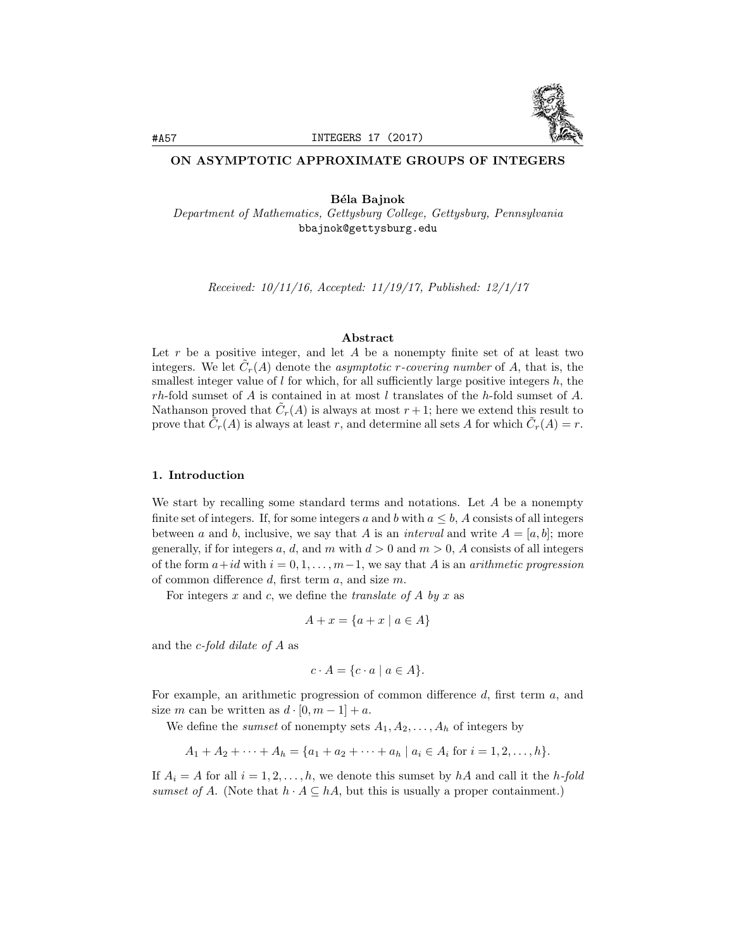

# ON ASYMPTOTIC APPROXIMATE GROUPS OF INTEGERS

Béla Bajnok *Department of Mathematics, Gettysburg College, Gettysburg, Pennsylvania* bbajnok@gettysburg.edu

*Received: 10/11/16, Accepted: 11/19/17, Published: 12/1/17*

### Abstract

Let r be a positive integer, and let A be a nonempty finite set of at least two integers. We let  $C_r(A)$  denote the *asymptotic r-covering number* of *A*, that is, the smallest integer value of  $l$  for which, for all sufficiently large positive integers  $h$ , the *rh*-fold sumset of *A* is contained in at most *l* translates of the *h*-fold sumset of *A*. Nathanson proved that  $\tilde{C}_r(A)$  is always at most  $r+1$ ; here we extend this result to prove that  $\hat{C}_r(A)$  is always at least *r*, and determine all sets *A* for which  $\hat{C}_r(A) = r$ .

#### 1. Introduction

We start by recalling some standard terms and notations. Let *A* be a nonempty finite set of integers. If, for some integers *a* and *b* with  $a \leq b$ , *A* consists of all integers between *a* and *b*, inclusive, we say that *A* is an *interval* and write  $A = [a, b]$ ; more generally, if for integers a, d, and m with  $d > 0$  and  $m > 0$ , A consists of all integers of the form  $a+id$  with  $i = 0, 1, \ldots, m-1$ , we say that *A* is an *arithmetic* progression of common difference  $d$ , first term  $a$ , and size  $m$ .

For integers  $x$  and  $c$ , we define the *translate* of  $A$  by  $x$  as

$$
A + x = \{a + x \mid a \in A\}
$$

and the *c-fold dilate of A* as

$$
c \cdot A = \{c \cdot a \mid a \in A\}.
$$

For example, an arithmetic progression of common difference d, first term a, and size *m* can be written as  $d \cdot [0, m - 1] + a$ .

We define the *sumset* of nonempty sets  $A_1, A_2, \ldots, A_h$  of integers by

$$
A_1 + A_2 + \dots + A_h = \{a_1 + a_2 + \dots + a_h \mid a_i \in A_i \text{ for } i = 1, 2, \dots, h\}.
$$

If  $A_i = A$  for all  $i = 1, 2, \ldots, h$ , we denote this sumset by  $hA$  and call it the *h*-fold *sumset* of *A*. (Note that  $h \cdot A \subseteq hA$ , but this is usually a proper containment.)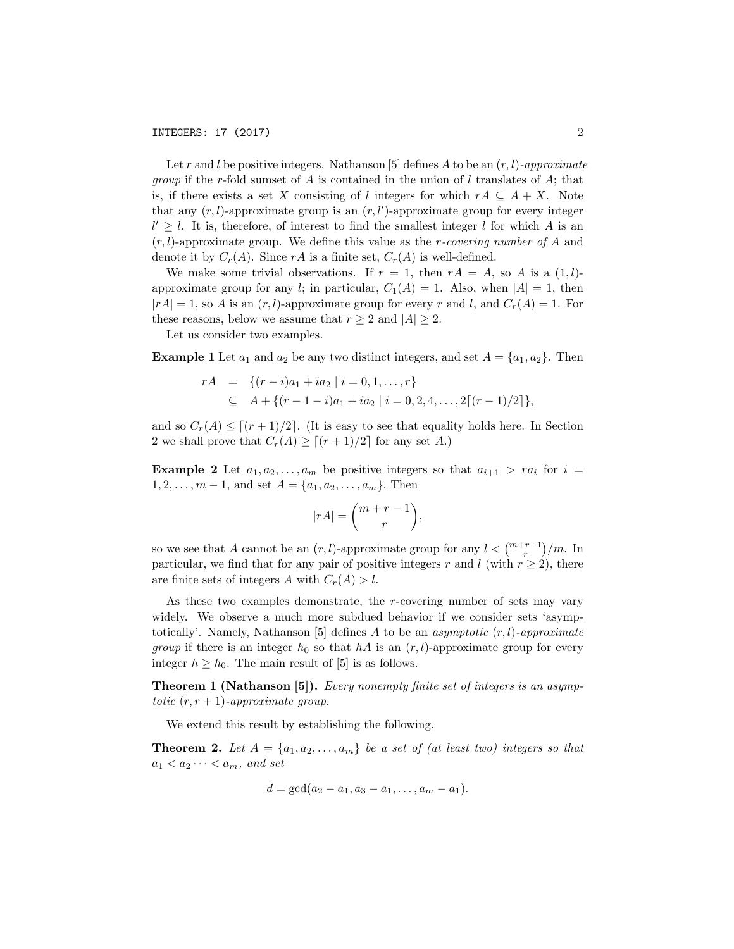Let *r* and *l* be positive integers. Nathanson [5] defines *A* to be an  $(r, l)$ -approximate *group* if the *r*-fold sumset of *A* is contained in the union of *l* translates of *A*; that is, if there exists a set *X* consisting of *l* integers for which  $rA \subseteq A + X$ . Note that any  $(r, l)$ -approximate group is an  $(r, l')$ -approximate group for every integer  $l' \geq l$ . It is, therefore, of interest to find the smallest integer *l* for which *A* is an (*r, l*)-approximate group. We define this value as the *r-covering number of A* and denote it by  $C_r(A)$ . Since  $rA$  is a finite set,  $C_r(A)$  is well-defined.

We make some trivial observations. If  $r = 1$ , then  $rA = A$ , so A is a  $(1, l)$ approximate group for any *l*; in particular,  $C_1(A) = 1$ . Also, when  $|A| = 1$ , then  $|rA| = 1$ , so *A* is an  $(r, l)$ -approximate group for every *r* and *l*, and  $C_r(A) = 1$ . For these reasons, below we assume that  $r > 2$  and  $|A| > 2$ .

Let us consider two examples.

**Example 1** Let  $a_1$  and  $a_2$  be any two distinct integers, and set  $A = \{a_1, a_2\}$ . Then

$$
rA = \{(r-i)a_1 + ia_2 \mid i = 0, 1, ..., r\}
$$
  
\n
$$
\subseteq A + \{(r-1-i)a_1 + ia_2 \mid i = 0, 2, 4, ..., 2\lceil (r-1)/2 \rceil\},\
$$

and so  $C_r(A) \leq (r+1)/2$ . (It is easy to see that equality holds here. In Section 2 we shall prove that  $C_r(A) \ge [(r+1)/2]$  for any set *A*.)

**Example 2** Let  $a_1, a_2, \ldots, a_m$  be positive integers so that  $a_{i+1} > ra_i$  for  $i =$  $1, 2, \ldots, m-1$ , and set  $A = \{a_1, a_2, \ldots, a_m\}$ . Then

$$
|rA| = \binom{m+r-1}{r},
$$

so we see that *A* cannot be an  $(r, l)$ -approximate group for any  $l < \binom{m+r-1}{r}/m$ . In particular, we find that for any pair of positive integers  $r$  and  $l$  (with  $r \geq 2$ ), there are finite sets of integers *A* with  $C_r(A) > l$ .

As these two examples demonstrate, the *r*-covering number of sets may vary widely. We observe a much more subdued behavior if we consider sets 'asymptotically'. Namely, Nathanson [5] defines *A* to be an *asymptotic* (*r, l*)*-approximate group* if there is an integer  $h_0$  so that  $hA$  is an  $(r, l)$ -approximate group for every integer  $h \geq h_0$ . The main result of [5] is as follows.

Theorem 1 (Nathanson [5]). *Every nonempty finite set of integers is an asymptotic*  $(r, r + 1)$ *-approximate group.* 

We extend this result by establishing the following.

**Theorem 2.** Let  $A = \{a_1, a_2, \ldots, a_m\}$  be a set of (at least two) integers so that  $a_1 < a_2 \cdots < a_m$ *, and set* 

$$
d = \gcd(a_2 - a_1, a_3 - a_1, \dots, a_m - a_1).
$$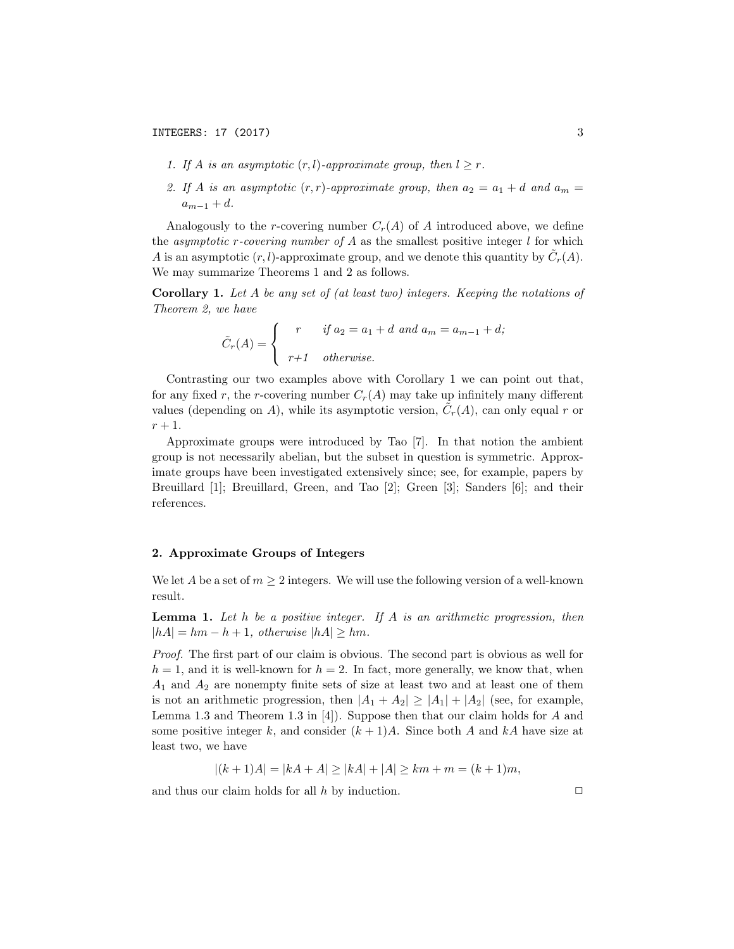- *1.* If *A* is an asymptotic  $(r, l)$ -approximate group, then  $l \geq r$ .
- 2. If A is an asymptotic  $(r, r)$ -approximate group, then  $a_2 = a_1 + d$  and  $a_m =$  $a_{m-1} + d$ .

Analogously to the *r*-covering number  $C_r(A)$  of A introduced above, we define the *asymptotic r*-covering number of A as the smallest positive integer  $l$  for which *A* is an asymptotic  $(r, l)$ -approximate group, and we denote this quantity by  $\tilde{C}_r(A)$ . We may summarize Theorems 1 and 2 as follows.

Corollary 1. *Let A be any set of (at least two) integers. Keeping the notations of Theorem 2, we have*

$$
\tilde{C}_r(A) = \begin{cases}\nr & \text{if } a_2 = a_1 + d \text{ and } a_m = a_{m-1} + d; \\
r+1 & \text{otherwise.}\n\end{cases}
$$

Contrasting our two examples above with Corollary 1 we can point out that, for any fixed r, the *r*-covering number  $C_r(A)$  may take up infinitely many different values (depending on *A*), while its asymptotic version,  $C_r(A)$ , can only equal *r* or  $r + 1$ .

Approximate groups were introduced by Tao [7]. In that notion the ambient group is not necessarily abelian, but the subset in question is symmetric. Approximate groups have been investigated extensively since; see, for example, papers by Breuillard [1]; Breuillard, Green, and Tao [2]; Green [3]; Sanders [6]; and their references.

### 2. Approximate Groups of Integers

We let *A* be a set of  $m \geq 2$  integers. We will use the following version of a well-known result.

Lemma 1. *Let h be a positive integer. If A is an arithmetic progression, then*  $|hA| = hm - h + 1$ , *otherwise*  $|hA| \geq hm$ .

*Proof.* The first part of our claim is obvious. The second part is obvious as well for  $h = 1$ , and it is well-known for  $h = 2$ . In fact, more generally, we know that, when *A*<sup>1</sup> and *A*<sup>2</sup> are nonempty finite sets of size at least two and at least one of them is not an arithmetic progression, then  $|A_1 + A_2| \geq |A_1| + |A_2|$  (see, for example, Lemma 1.3 and Theorem 1.3 in [4]). Suppose then that our claim holds for *A* and some positive integer  $k$ , and consider  $(k+1)A$ . Since both *A* and  $kA$  have size at least two, we have

$$
|(k+1)A| = |kA + A| \ge |kA| + |A| \ge km + m = (k+1)m,
$$

and thus our claim holds for all  $h$  by induction.  $\Box$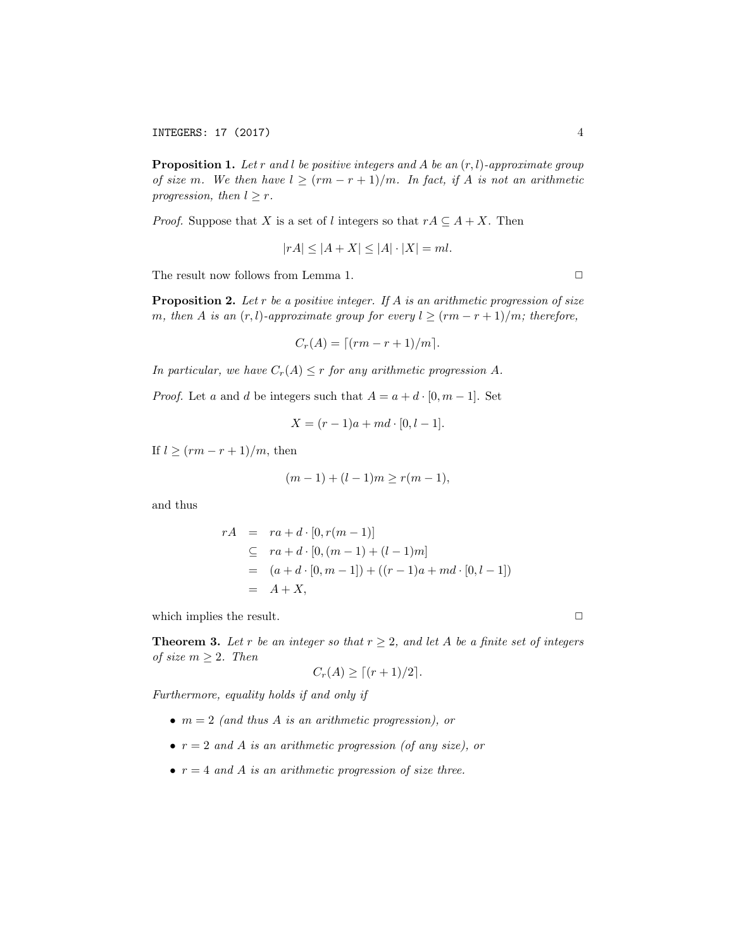Proposition 1. *Let r and l be positive integers and A be an* (*r, l*)*-approximate group of size m*. We then have  $l \geq (rm - r + 1)/m$ . In fact, if A is not an arithmetic *progression, then*  $l \geq r$ *.* 

*Proof.* Suppose that *X* is a set of *l* integers so that  $rA \subseteq A + X$ . Then

$$
|rA| \le |A + X| \le |A| \cdot |X| = ml.
$$

The result now follows from Lemma 1.  $\Box$ 

Proposition 2. *Let r be a positive integer. If A is an arithmetic progression of size m, then A is an*  $(r, l)$ *-approximate group for every*  $l \ge (rm - r + 1)/m$ *; therefore,* 

$$
C_r(A) = \lceil (rm - r + 1)/m \rceil.
$$

*In particular, we have*  $C_r(A) \leq r$  *for any arithmetic progression A.* 

*Proof.* Let *a* and *d* be integers such that  $A = a + d \cdot [0, m - 1]$ . Set

$$
X = (r-1)a + md \cdot [0, l-1].
$$

If  $l \ge (rm - r + 1)/m$ , then

$$
(m-1) + (l-1)m \ge r(m-1),
$$

and thus

$$
rA = ra + d \cdot [0, r(m-1)]
$$
  
\n
$$
\subseteq ra + d \cdot [0, (m-1) + (l-1)m]
$$
  
\n
$$
= (a + d \cdot [0, m-1]) + ((r-1)a + md \cdot [0, l-1])
$$
  
\n
$$
= A + X,
$$

which implies the result.  $\Box$ 

**Theorem 3.** Let r be an integer so that  $r \geq 2$ , and let A be a finite set of integers *of size*  $m \geq 2$ *. Then* 

$$
C_r(A) \ge \lceil (r+1)/2 \rceil.
$$

*Furthermore, equality holds if and only if*

- *• m* = 2 *(and thus A is an arithmetic progression), or*
- $r = 2$  *and A is an arithmetic* progression (*of any size*), *or*
- $r = 4$  *and A is an arithmetic progression of size three.*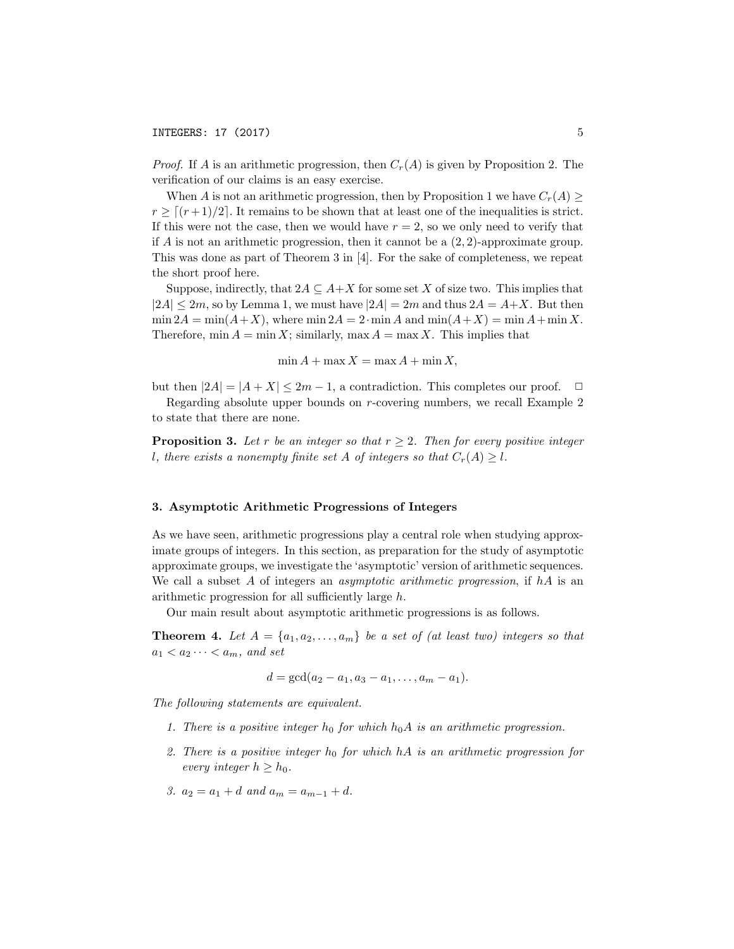*Proof.* If *A* is an arithmetic progression, then  $C_r(A)$  is given by Proposition 2. The verification of our claims is an easy exercise.

When *A* is not an arithmetic progression, then by Proposition 1 we have  $C_r(A) \geq$  $r \geq \lceil (r+1)/2 \rceil$ . It remains to be shown that at least one of the inequalities is strict. If this were not the case, then we would have  $r = 2$ , so we only need to verify that if  $A$  is not an arithmetic progression, then it cannot be a  $(2, 2)$ -approximate group. This was done as part of Theorem 3 in [4]. For the sake of completeness, we repeat the short proof here.

Suppose, indirectly, that  $2A \subseteq A + X$  for some set X of size two. This implies that  $|2A| \leq 2m$ , so by Lemma 1, we must have  $|2A| = 2m$  and thus  $2A = A + X$ . But then  $\min 2A = \min(A + X)$ , where  $\min 2A = 2 \cdot \min A$  and  $\min(A + X) = \min A + \min X$ . Therefore,  $\min A = \min X$ ; similarly,  $\max A = \max X$ . This implies that

 $\min A + \max X = \max A + \min X$ 

but then  $|2A| = |A + X| \leq 2m - 1$ , a contradiction. This completes our proof.  $\Box$ 

Regarding absolute upper bounds on *r*-covering numbers, we recall Example 2 to state that there are none.

**Proposition 3.** Let r be an integer so that  $r \geq 2$ . Then for every positive integer *l*, there exists a nonempty finite set A of integers so that  $C_r(A) \geq l$ .

### 3. Asymptotic Arithmetic Progressions of Integers

As we have seen, arithmetic progressions play a central role when studying approximate groups of integers. In this section, as preparation for the study of asymptotic approximate groups, we investigate the 'asymptotic' version of arithmetic sequences. We call a subset *A* of integers an *asymptotic arithmetic progression*, if *hA* is an arithmetic progression for all sufficiently large h.

Our main result about asymptotic arithmetic progressions is as follows.

**Theorem 4.** Let  $A = \{a_1, a_2, \ldots, a_m\}$  be a set of (at least two) integers so that  $a_1 < a_2 \cdots < a_m$ , and set

 $d = \gcd(a_2 - a_1, a_3 - a_1, \ldots, a_m - a_1).$ 

*The following statements are equivalent.*

- *1. There is a positive integer h*<sup>0</sup> *for which h*0*A is an arithmetic progression.*
- *2. There is a positive integer h*<sup>0</sup> *for which hA is an arithmetic progression for every integer*  $h \geq h_0$ *.*
- *3.*  $a_2 = a_1 + d$  *and*  $a_m = a_{m-1} + d$ *.*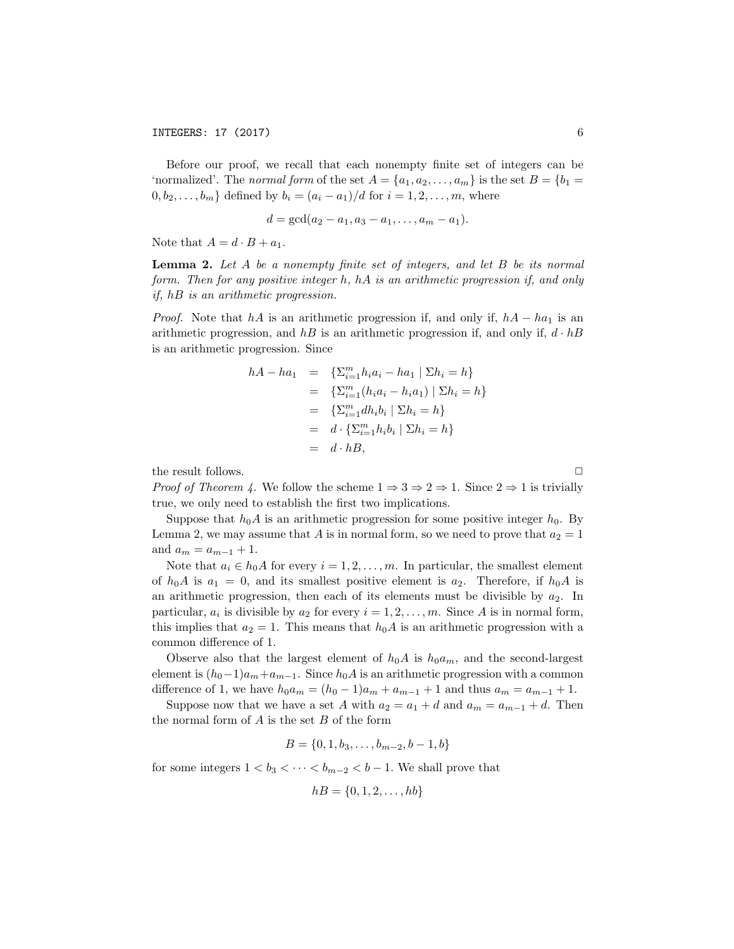Before our proof, we recall that each nonempty finite set of integers can be 'normalized'. The *normal form* of the set  $A = \{a_1, a_2, \ldots, a_m\}$  is the set  $B = \{b_1 =$  $0, b_2, ..., b_m$ } defined by  $b_i = (a_i - a_1)/d$  for  $i = 1, 2, ..., m$ , where

$$
d = \gcd(a_2 - a_1, a_3 - a_1, \ldots, a_m - a_1).
$$

Note that  $A = d \cdot B + a_1$ .

Lemma 2. *Let A be a nonempty finite set of integers, and let B be its normal form. Then for any positive integer h, hA is an arithmetic progression if, and only if, hB is an arithmetic progression.*

*Proof.* Note that  $hA$  is an arithmetic progression if, and only if,  $hA - ha_1$  is an arithmetic progression, and *hB* is an arithmetic progression if, and only if, *d · hB* is an arithmetic progression. Since

$$
hA - ha_1 = \{ \sum_{i=1}^m h_i a_i - ha_1 \mid \sum h_i = h \}
$$
  
=  $\{ \sum_{i=1}^m (h_i a_i - h_i a_1) \mid \sum h_i = h \}$   
=  $\{ \sum_{i=1}^m dh_i b_i \mid \sum h_i = h \}$   
=  $d \cdot \{ \sum_{i=1}^m h_i b_i \mid \sum h_i = h \}$   
=  $d \cdot hB$ ,

the result follows.  $\Box$ 

*Proof* of Theorem 4. We follow the scheme  $1 \Rightarrow 3 \Rightarrow 2 \Rightarrow 1$ . Since  $2 \Rightarrow 1$  is trivially true, we only need to establish the first two implications.

Suppose that  $h_0A$  is an arithmetic progression for some positive integer  $h_0$ . By Lemma 2, we may assume that A is in normal form, so we need to prove that  $a_2 = 1$ and  $a_m = a_{m-1} + 1$ .

Note that  $a_i \in h_0A$  for every  $i = 1, 2, \ldots, m$ . In particular, the smallest element of  $h_0A$  is  $a_1 = 0$ , and its smallest positive element is  $a_2$ . Therefore, if  $h_0A$  is an arithmetic progression, then each of its elements must be divisible by  $a_2$ . In particular,  $a_i$  is divisible by  $a_2$  for every  $i = 1, 2, \ldots, m$ . Since A is in normal form, this implies that  $a_2 = 1$ . This means that  $h_0A$  is an arithmetic progression with a common difference of 1.

Observe also that the largest element of  $h_0A$  is  $h_0a_m$ , and the second-largest element is  $(h_0-1)a_m+a_{m-1}$ . Since  $h_0A$  is an arithmetic progression with a common difference of 1, we have  $h_0 a_m = (h_0 - 1)a_m + a_{m-1} + 1$  and thus  $a_m = a_{m-1} + 1$ .

Suppose now that we have a set *A* with  $a_2 = a_1 + d$  and  $a_m = a_{m-1} + d$ . Then the normal form of *A* is the set *B* of the form

$$
B = \{0, 1, b_3, \dots, b_{m-2}, b-1, b\}
$$

for some integers  $1 < b_3 < \cdots < b_{m-2} < b-1$ . We shall prove that

$$
hB = \{0, 1, 2, \ldots, hb\}
$$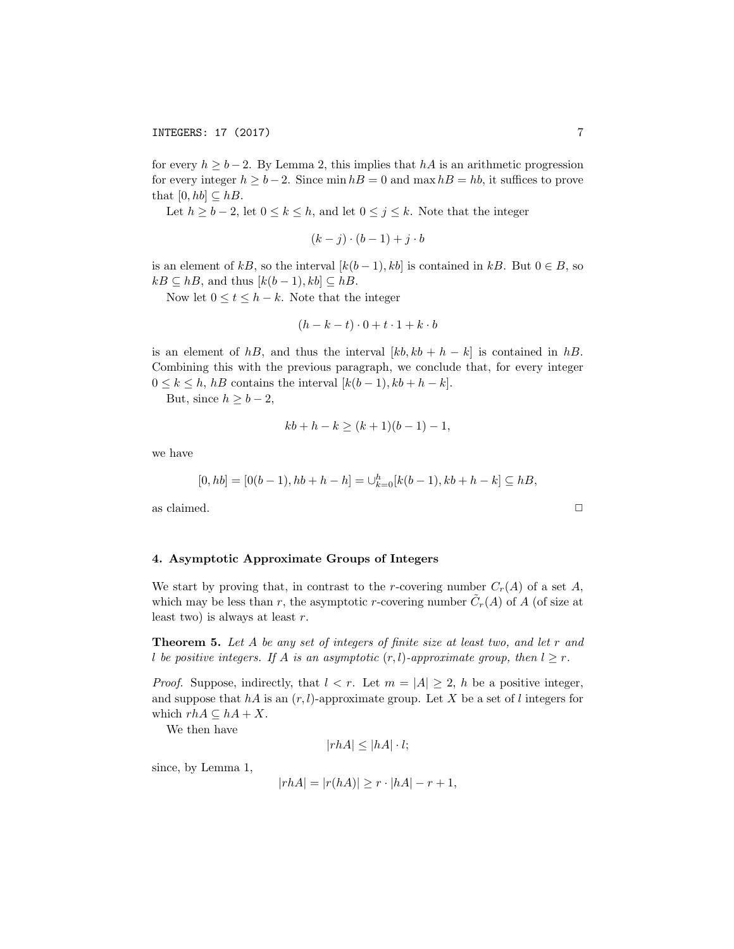for every  $h \ge b - 2$ . By Lemma 2, this implies that  $hA$  is an arithmetic progression for every integer  $h \ge b - 2$ . Since min  $h = 0$  and max  $h = h$ , it suffices to prove that  $[0, hb] \subseteq hB$ .

Let  $h \ge b - 2$ , let  $0 \le k \le h$ , and let  $0 \le j \le k$ . Note that the integer

$$
(k-j)\cdot(b-1)+j\cdot b
$$

is an element of  $kB$ , so the interval  $[k(b-1), kb]$  is contained in  $kB$ . But  $0 \in B$ , so  $kB \subseteq hB$ , and thus  $[k(b-1), kb] \subseteq hB$ .

Now let  $0 \le t \le h - k$ . Note that the integer

$$
(h-k-t)\cdot 0 + t\cdot 1 + k\cdot b
$$

is an element of  $hB$ , and thus the interval  $[kb, kb + h - k]$  is contained in  $hB$ . Combining this with the previous paragraph, we conclude that, for every integer  $0 \leq k \leq h$ , *hB* contains the interval  $[k(b-1), kb+h-k]$ .

But, since  $h \geq b - 2$ ,

$$
kb + h - k \ge (k+1)(b-1) - 1,
$$

we have

$$
[0, hb] = [0(b-1), hb+h-h] = \bigcup_{k=0}^{h} [k(b-1), kb+h-k] \subseteq hB,
$$

as claimed.  $\hfill \square$ 

## 4. Asymptotic Approximate Groups of Integers

We start by proving that, in contrast to the *r*-covering number  $C_r(A)$  of a set A, which may be less than *r*, the asymptotic *r*-covering number  $\tilde{C}_r(A)$  of *A* (of size at least two) is always at least *r*.

Theorem 5. *Let A be any set of integers of finite size at least two, and let r and l be positive integers. If A is an asymptotic*  $(r, l)$ *-approximate group, then*  $l \geq r$ *.* 

*Proof.* Suppose, indirectly, that  $l < r$ . Let  $m = |A| \geq 2$ , h be a positive integer, and suppose that  $hA$  is an  $(r, l)$ -approximate group. Let X be a set of *l* integers for which  $rhA \subseteq hA + X$ .

We then have

$$
|rhA| \le |hA| \cdot l;
$$

since, by Lemma 1,

$$
|rhA| = |r(hA)| \ge r \cdot |hA| - r + 1,
$$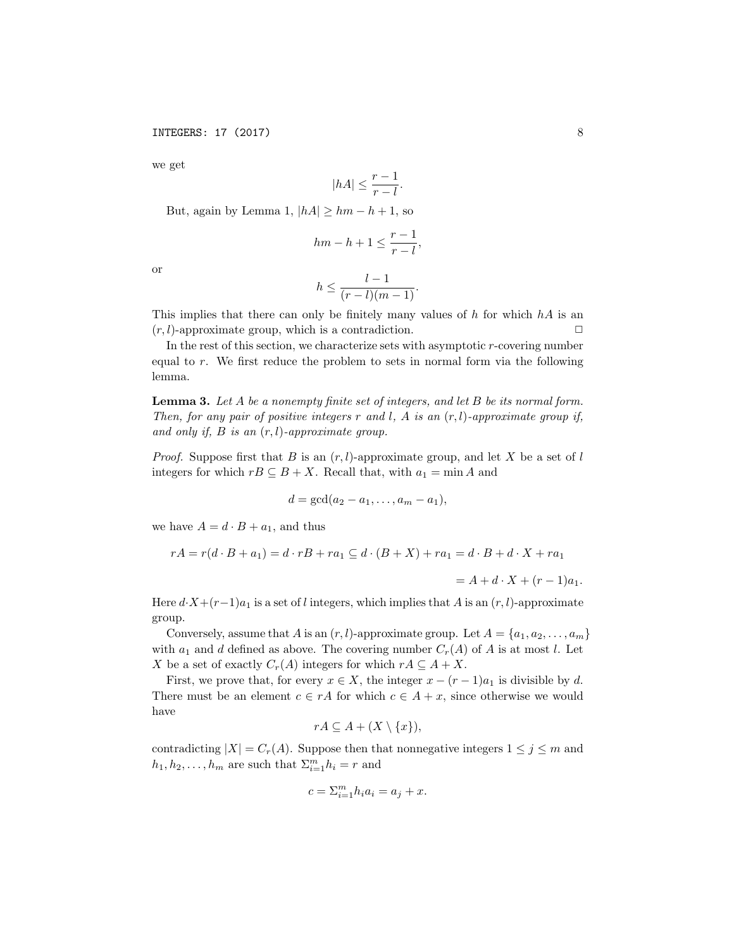we get

$$
|hA| \le \frac{r-1}{r-l}.
$$

But, again by Lemma 1,  $|hA| \geq hm - h + 1$ , so

$$
hm - h + 1 \le \frac{r - 1}{r - l},
$$

or

$$
h \leq \frac{l-1}{(r-l)(m-1)}.
$$

This implies that there can only be finitely many values of *h* for which *hA* is an  $(r, l)$ -approximate group, which is a contradiction.

In the rest of this section, we characterize sets with asymptotic *r*-covering number equal to *r*. We first reduce the problem to sets in normal form via the following lemma.

Lemma 3. *Let A be a nonempty finite set of integers, and let B be its normal form. Then, for any pair of positive integers r and l, A is an* (*r, l*)*-approximate group if, and only if, B is an* (*r, l*)*-approximate group.*

*Proof.* Suppose first that *B* is an (*r, l*)-approximate group, and let *X* be a set of *l* integers for which  $rB \subseteq B + X$ . Recall that, with  $a_1 = \min A$  and

$$
d = \gcd(a_2 - a_1, \ldots, a_m - a_1),
$$

we have  $A = d \cdot B + a_1$ , and thus

$$
rA = r(d \cdot B + a_1) = d \cdot rB + ra_1 \subseteq d \cdot (B + X) + ra_1 = d \cdot B + d \cdot X + ra_1
$$

 $= A + d \cdot X + (r - 1)a_1.$ 

Here  $d \cdot X + (r-1)a_1$  is a set of *l* integers, which implies that *A* is an  $(r, l)$ -approximate group.

Conversely, assume that *A* is an  $(r, l)$ -approximate group. Let  $A = \{a_1, a_2, \ldots, a_m\}$ with  $a_1$  and *d* defined as above. The covering number  $C_r(A)$  of *A* is at most *l*. Let *X* be a set of exactly  $C_r(A)$  integers for which  $rA \subseteq A + X$ .

First, we prove that, for every  $x \in X$ , the integer  $x - (r - 1)a_1$  is divisible by *d*. There must be an element  $c \in rA$  for which  $c \in A + x$ , since otherwise we would have

$$
rA \subseteq A + (X \setminus \{x\}),
$$

contradicting  $|X| = C_r(A)$ . Suppose then that nonnegative integers  $1 \leq j \leq m$  and  $h_1, h_2, \ldots, h_m$  are such that  $\sum_{i=1}^m h_i = r$  and

$$
c = \sum_{i=1}^{m} h_i a_i = a_j + x.
$$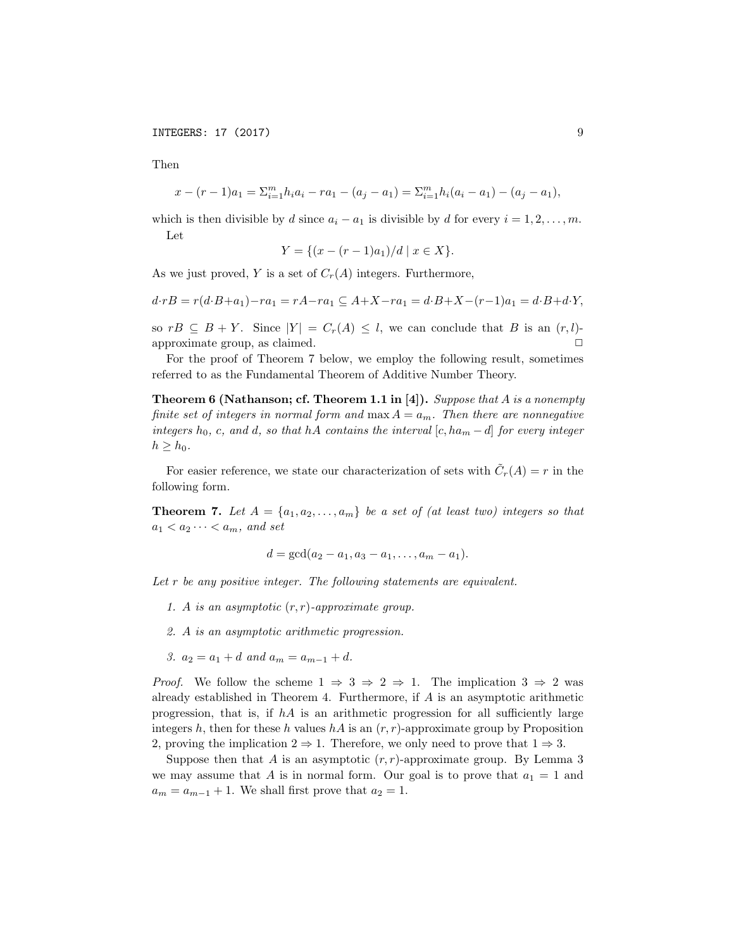INTEGERS: 17 (2017) 9

Then

$$
x - (r-1)a_1 = \sum_{i=1}^m h_i a_i - ra_1 - (a_j - a_1) = \sum_{i=1}^m h_i (a_i - a_1) - (a_j - a_1),
$$

which is then divisible by *d* since  $a_i - a_1$  is divisible by *d* for every  $i = 1, 2, \ldots, m$ . Let

$$
Y = \{(x - (r - 1)a_1)/d \mid x \in X\}.
$$

As we just proved, *Y* is a set of  $C_r(A)$  integers. Furthermore,

$$
d \cdot rB = r(d \cdot B + a_1) - ra_1 = rA - ra_1 \subseteq A + X - ra_1 = d \cdot B + X - (r - 1)a_1 = d \cdot B + d \cdot Y,
$$

so  $rB \subseteq B + Y$ . Since  $|Y| = C_r(A) \leq l$ , we can conclude that *B* is an  $(r, l)$ -<br>approximate group as claimed approximate group, as claimed. 2

For the proof of Theorem 7 below, we employ the following result, sometimes referred to as the Fundamental Theorem of Additive Number Theory.

Theorem 6 (Nathanson; cf. Theorem 1.1 in [4]). *Suppose that A is a nonempty finite set of integers in normal form and*  $\max A = a_m$ *. Then there are nonnegative* integers  $h_0$ , c, and d, so that hA contains the interval  $[c, ha_m - d]$  for every integer  $h > h_0$ .

For easier reference, we state our characterization of sets with  $\tilde{C}_r(A) = r$  in the following form.

**Theorem 7.** Let  $A = \{a_1, a_2, \ldots, a_m\}$  be a set of (at least two) integers so that  $a_1 < a_2 \cdots < a_m$ *, and set* 

$$
d = \gcd(a_2 - a_1, a_3 - a_1, \ldots, a_m - a_1).
$$

*Let r be any positive integer. The following statements are equivalent.*

- *1. A is an asymptotic* (*r, r*)*-approximate group.*
- *2. A is an asymptotic arithmetic progression.*
- *3.*  $a_2 = a_1 + d$  *and*  $a_m = a_{m-1} + d$ .

*Proof.* We follow the scheme  $1 \Rightarrow 3 \Rightarrow 2 \Rightarrow 1$ . The implication  $3 \Rightarrow 2$  was already established in Theorem 4. Furthermore, if *A* is an asymptotic arithmetic progression, that is, if  $hA$  is an arithmetic progression for all sufficiently large integers  $h$ , then for these  $h$  values  $hA$  is an  $(r, r)$ -approximate group by Proposition 2, proving the implication  $2 \Rightarrow 1$ . Therefore, we only need to prove that  $1 \Rightarrow 3$ .

Suppose then that  $A$  is an asymptotic  $(r, r)$ -approximate group. By Lemma 3 we may assume that *A* is in normal form. Our goal is to prove that  $a_1 = 1$  and  $a_m = a_{m-1} + 1$ . We shall first prove that  $a_2 = 1$ .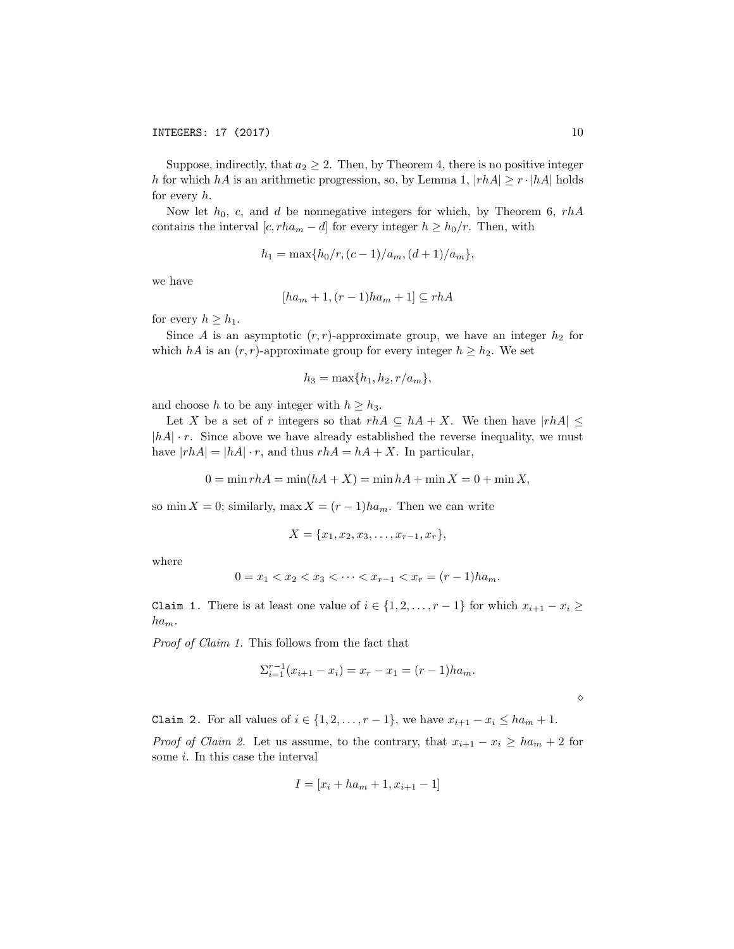Suppose, indirectly, that  $a_2 \geq 2$ . Then, by Theorem 4, there is no positive integer *h* for which *hA* is an arithmetic progression, so, by Lemma 1,  $|rhA| \geq r \cdot |hA|$  holds for every *h*.

Now let *h*0, *c*, and *d* be nonnegative integers for which, by Theorem 6, *rhA* contains the interval  $[c, rha_m - d]$  for every integer  $h \geq h_0/r$ . Then, with

$$
h_1 = \max\{h_0/r, (c-1)/a_m, (d+1)/a_m\},\,
$$

we have

$$
[ha_m + 1, (r-1)ha_m + 1] \subseteq rhA
$$

for every  $h \geq h_1$ .

Since *A* is an asymptotic  $(r, r)$ -approximate group, we have an integer  $h_2$  for which *hA* is an  $(r, r)$ -approximate group for every integer  $h \geq h_2$ . We set

$$
h_3 = \max\{h_1, h_2, r/a_m\},\
$$

and choose *h* to be any integer with  $h \geq h_3$ .

Let *X* be a set of *r* integers so that  $rhA \subseteq hA + X$ . We then have  $|rhA| \le$ *|hA| · r*. Since above we have already established the reverse inequality, we must have  $|rhA| = |hA| \cdot r$ , and thus  $rhA = hA + X$ . In particular,

$$
0 = \min rhA = \min(hA + X) = \min hA + \min X = 0 + \min X,
$$

so min  $X = 0$ ; similarly, max  $X = (r-1)ha_m$ . Then we can write

$$
X = \{x_1, x_2, x_3, \dots, x_{r-1}, x_r\},\
$$

where

$$
0 = x_1 < x_2 < x_3 < \dots < x_{r-1} < x_r = (r-1)ha_m.
$$

Claim 1. There is at least one value of  $i \in \{1, 2, \ldots, r-1\}$  for which  $x_{i+1} - x_i \geq$  $ha_m$ .

*Proof of Claim 1.* This follows from the fact that

$$
\sum_{i=1}^{r-1} (x_{i+1} - x_i) = x_r - x_1 = (r-1)ha_m.
$$

Claim 2. For all values of  $i \in \{1, 2, \ldots, r-1\}$ , we have  $x_{i+1} - x_i \le ha_m + 1$ .

*Proof of Claim* 2. Let us assume, to the contrary, that  $x_{i+1} - x_i \ge ha_m + 2$  for some *i*. In this case the interval

$$
I = [x_i + ha_m + 1, x_{i+1} - 1]
$$

⇧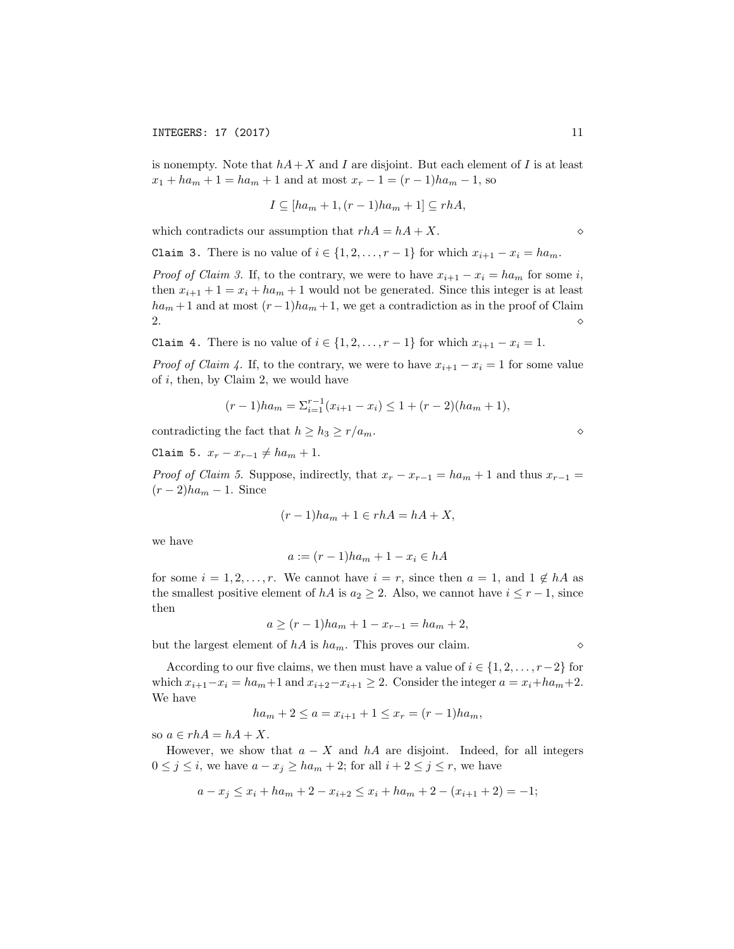is nonempty. Note that  $hA + X$  and *I* are disjoint. But each element of *I* is at least  $x_1 + ha_m + 1 = ha_m + 1$  and at most  $x_r - 1 = (r - 1)ha_m - 1$ , so

$$
I \subseteq [ha_m + 1, (r - 1)ha_m + 1] \subseteq rhA,
$$

which contradicts our assumption that  $rhA = hA + X$ .

Claim 3. There is no value of  $i \in \{1, 2, \ldots, r-1\}$  for which  $x_{i+1} - x_i = ha_m$ .

*Proof of Claim* 3. If, to the contrary, we were to have  $x_{i+1} - x_i = ha_m$  for some *i*, then  $x_{i+1} + 1 = x_i + ha_m + 1$  would not be generated. Since this integer is at least  $ha_m + 1$  and at most  $(r-1)ha_m + 1$ , we get a contradiction as in the proof of Claim  $\sim$ 2.  $\Diamond$ 

Claim 4. There is no value of  $i \in \{1, 2, \ldots, r-1\}$  for which  $x_{i+1} - x_i = 1$ .

*Proof* of *Claim 4.* If, to the contrary, we were to have  $x_{i+1} - x_i = 1$  for some value of *i*, then, by Claim 2, we would have

$$
(r-1)ha_m = \sum_{i=1}^{r-1} (x_{i+1} - x_i) \le 1 + (r-2)(ha_m + 1),
$$

contradicting the fact that  $h \geq h_3 \geq r/a_m$ .

Claim 5.  $x_r - x_{r-1} \neq ha_m + 1$ .

*Proof of Claim* 5. Suppose, indirectly, that  $x_r - x_{r-1} = ha_m + 1$  and thus  $x_{r-1} =$  $(r-2)ha_m-1$ . Since

$$
(r-1)ha_m + 1 \in rhA = hA + X,
$$

we have

$$
a := (r-1)ha_m + 1 - x_i \in hA
$$

for some  $i = 1, 2, \ldots, r$ . We cannot have  $i = r$ , since then  $a = 1$ , and  $1 \notin hA$  as the smallest positive element of *hA* is  $a_2 \geq 2$ . Also, we cannot have  $i \leq r-1$ , since then

 $a > (r-1)ha_m + 1 - x_{r-1} = ha_m + 2$ 

but the largest element of  $hA$  is  $ha_m$ . This proves our claim.

According to our five claims, we then must have a value of  $i \in \{1, 2, \ldots, r-2\}$  for which  $x_{i+1} - x_i = ha_m + 1$  and  $x_{i+2} - x_{i+1} \geq 2$ . Consider the integer  $a = x_i + ha_m + 2$ . We have

$$
ha_m + 2 \le a = x_{i+1} + 1 \le x_r = (r - 1)ha_m,
$$

so  $a \in rhA = hA + X$ .

However, we show that  $a - X$  and  $hA$  are disjoint. Indeed, for all integers  $0 \leq j \leq i$ , we have  $a - x_j \geq ha_m + 2$ ; for all  $i + 2 \leq j \leq r$ , we have

$$
a - x_j \le x_i + h a_m + 2 - x_{i+2} \le x_i + h a_m + 2 - (x_{i+1} + 2) = -1;
$$